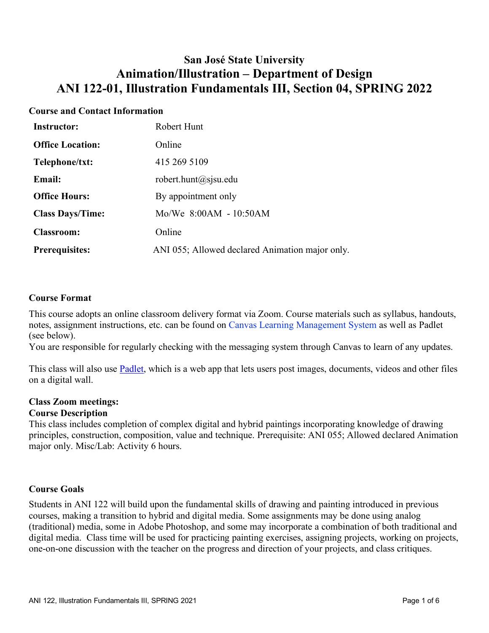## **San José State University Animation/Illustration – Department of Design ANI 122-01, Illustration Fundamentals III, Section 04, SPRING 2022**

## **Course and Contact Information**

| <b>Instructor:</b>      | Robert Hunt                                     |
|-------------------------|-------------------------------------------------|
| <b>Office Location:</b> | Online                                          |
| Telephone/txt:          | 415 269 5109                                    |
| <b>Email:</b>           | robert.hunt@sjsu.edu                            |
| <b>Office Hours:</b>    | By appointment only                             |
| <b>Class Days/Time:</b> | Mo/We 8:00AM - 10:50AM                          |
| <b>Classroom:</b>       | Online                                          |
| <b>Prerequisites:</b>   | ANI 055; Allowed declared Animation major only. |

#### **Course Format**

This course adopts an online classroom delivery format via Zoom. Course materials such as syllabus, handouts, notes, assignment instructions, etc. can be found on Canvas Learning Management System as well as Padlet (see below).

You are responsible for regularly checking with the messaging system through Canvas to learn of any updates.

This class will also use **Padlet**, which is a web app that lets users post images, documents, videos and other files on a digital wall.

# **Class Zoom meetings:**

## **Course Description**

This class includes completion of complex digital and hybrid paintings incorporating knowledge of drawing principles, construction, composition, value and technique. Prerequisite: ANI 055; Allowed declared Animation major only. Misc/Lab: Activity 6 hours.

## **Course Goals**

Students in ANI 122 will build upon the fundamental skills of drawing and painting introduced in previous courses, making a transition to hybrid and digital media. Some assignments may be done using analog (traditional) media, some in Adobe Photoshop, and some may incorporate a combination of both traditional and digital media. Class time will be used for practicing painting exercises, assigning projects, working on projects, one-on-one discussion with the teacher on the progress and direction of your projects, and class critiques.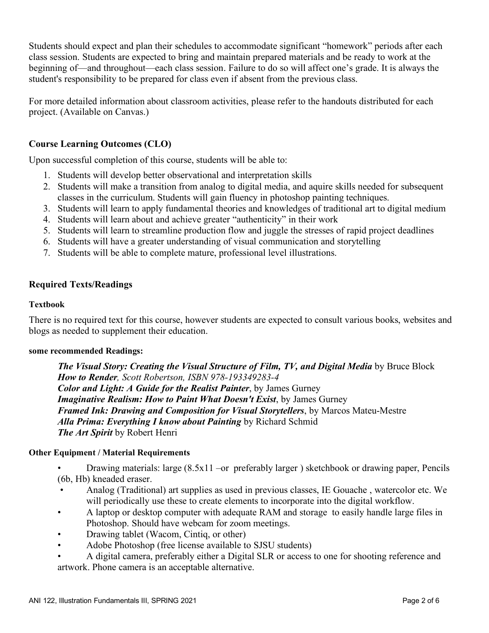Students should expect and plan their schedules to accommodate significant "homework" periods after each class session. Students are expected to bring and maintain prepared materials and be ready to work at the beginning of—and throughout—each class session. Failure to do so will affect one's grade. It is always the student's responsibility to be prepared for class even if absent from the previous class.

For more detailed information about classroom activities, please refer to the handouts distributed for each project. (Available on Canvas.)

## **Course Learning Outcomes (CLO)**

Upon successful completion of this course, students will be able to:

- 1. Students will develop better observational and interpretation skills
- 2. Students will make a transition from analog to digital media, and aquire skills needed for subsequent classes in the curriculum. Students will gain fluency in photoshop painting techniques.
- 3. Students will learn to apply fundamental theories and knowledges of traditional art to digital medium
- 4. Students will learn about and achieve greater "authenticity" in their work
- 5. Students will learn to streamline production flow and juggle the stresses of rapid project deadlines
- 6. Students will have a greater understanding of visual communication and storytelling
- 7. Students will be able to complete mature, professional level illustrations.

#### **Required Texts/Readings**

#### **Textbook**

There is no required text for this course, however students are expected to consult various books, websites and blogs as needed to supplement their education.

#### **some recommended Readings:**

*The Visual Story: Creating the Visual Structure of Film, TV, and Digital Media* **by Bruce Block** *How to Render, Scott Robertson, ISBN 978-193349283-4 Color and Light: A Guide for the Realist Painter*, by James Gurney *Imaginative Realism: How to Paint What Doesn't Exist*, by James Gurney *Framed Ink: Drawing and Composition for Visual Storytellers*, by Marcos Mateu-Mestre *Alla Prima: Everything I know about Painting* by Richard Schmid *The Art Spirit* by Robert Henri

#### **Other Equipment / Material Requirements**

- Drawing materials: large (8.5x11 –or preferably larger ) sketchbook or drawing paper, Pencils (6b, Hb) kneaded eraser.
- Analog (Traditional) art supplies as used in previous classes, IE Gouache , watercolor etc. We will periodically use these to create elements to incorporate into the digital workflow.
- A laptop or desktop computer with adequate RAM and storage to easily handle large files in Photoshop. Should have webcam for zoom meetings.
- Drawing tablet (Wacom, Cintiq, or other)
- Adobe Photoshop (free license available to SJSU students)
- A digital camera, preferably either a Digital SLR or access to one for shooting reference and artwork. Phone camera is an acceptable alternative.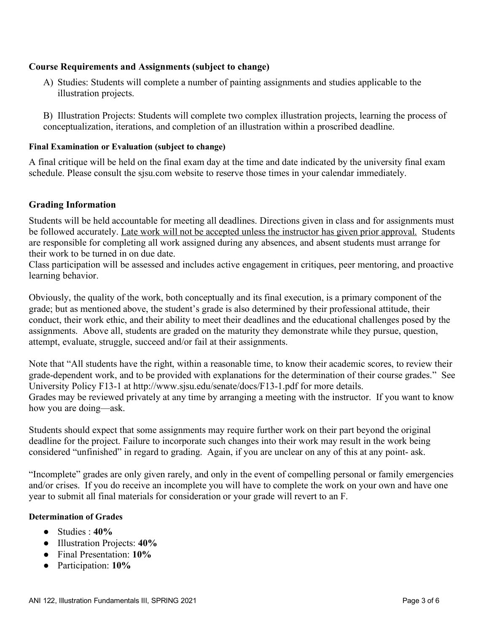## **Course Requirements and Assignments (subject to change)**

A) Studies: Students will complete a number of painting assignments and studies applicable to the illustration projects.

B) Illustration Projects: Students will complete two complex illustration projects, learning the process of conceptualization, iterations, and completion of an illustration within a proscribed deadline.

#### **Final Examination or Evaluation (subject to change)**

A final critique will be held on the final exam day at the time and date indicated by the university final exam schedule. Please consult the sjsu.com website to reserve those times in your calendar immediately.

## **Grading Information**

Students will be held accountable for meeting all deadlines. Directions given in class and for assignments must be followed accurately. Late work will not be accepted unless the instructor has given prior approval. Students are responsible for completing all work assigned during any absences, and absent students must arrange for their work to be turned in on due date.

Class participation will be assessed and includes active engagement in critiques, peer mentoring, and proactive learning behavior.

Obviously, the quality of the work, both conceptually and its final execution, is a primary component of the grade; but as mentioned above, the student's grade is also determined by their professional attitude, their conduct, their work ethic, and their ability to meet their deadlines and the educational challenges posed by the assignments. Above all, students are graded on the maturity they demonstrate while they pursue, question, attempt, evaluate, struggle, succeed and/or fail at their assignments.

Note that "All students have the right, within a reasonable time, to know their academic scores, to review their grade-dependent work, and to be provided with explanations for the determination of their course grades." See University Policy F13-1 at http://www.sjsu.edu/senate/docs/F13-1.pdf for more details. Grades may be reviewed privately at any time by arranging a meeting with the instructor. If you want to know how you are doing—ask.

Students should expect that some assignments may require further work on their part beyond the original deadline for the project. Failure to incorporate such changes into their work may result in the work being considered "unfinished" in regard to grading. Again, if you are unclear on any of this at any point- ask.

"Incomplete" grades are only given rarely, and only in the event of compelling personal or family emergencies and/or crises. If you do receive an incomplete you will have to complete the work on your own and have one year to submit all final materials for consideration or your grade will revert to an F.

#### **Determination of Grades**

- Studies : **40%**
- Illustration Projects: **40%**
- Final Presentation: **10%**
- Participation: **10%**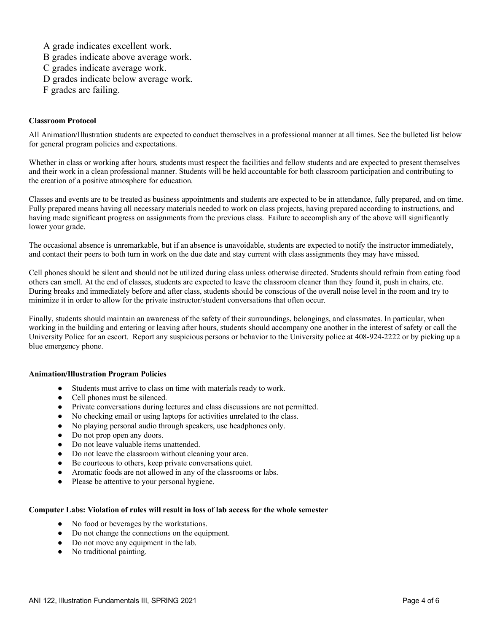A grade indicates excellent work.

- B grades indicate above average work.
- C grades indicate average work.
- D grades indicate below average work.
- F grades are failing.

#### **Classroom Protocol**

All Animation/Illustration students are expected to conduct themselves in a professional manner at all times. See the bulleted list below for general program policies and expectations.

Whether in class or working after hours, students must respect the facilities and fellow students and are expected to present themselves and their work in a clean professional manner. Students will be held accountable for both classroom participation and contributing to the creation of a positive atmosphere for education.

Classes and events are to be treated as business appointments and students are expected to be in attendance, fully prepared, and on time. Fully prepared means having all necessary materials needed to work on class projects, having prepared according to instructions, and having made significant progress on assignments from the previous class. Failure to accomplish any of the above will significantly lower your grade.

The occasional absence is unremarkable, but if an absence is unavoidable, students are expected to notify the instructor immediately, and contact their peers to both turn in work on the due date and stay current with class assignments they may have missed.

Cell phones should be silent and should not be utilized during class unless otherwise directed. Students should refrain from eating food others can smell. At the end of classes, students are expected to leave the classroom cleaner than they found it, push in chairs, etc. During breaks and immediately before and after class, students should be conscious of the overall noise level in the room and try to minimize it in order to allow for the private instructor/student conversations that often occur.

Finally, students should maintain an awareness of the safety of their surroundings, belongings, and classmates. In particular, when working in the building and entering or leaving after hours, students should accompany one another in the interest of safety or call the University Police for an escort. Report any suspicious persons or behavior to the University police at 408-924-2222 or by picking up a blue emergency phone.

#### **Animation/Illustration Program Policies**

- Students must arrive to class on time with materials ready to work.
- Cell phones must be silenced.
- Private conversations during lectures and class discussions are not permitted.
- No checking email or using laptops for activities unrelated to the class.
- No playing personal audio through speakers, use headphones only.
- Do not prop open any doors.
- Do not leave valuable items unattended.
- Do not leave the classroom without cleaning your area.
- Be courteous to others, keep private conversations quiet.
- Aromatic foods are not allowed in any of the classrooms or labs.
- Please be attentive to your personal hygiene.

#### **Computer Labs: Violation of rules will result in loss of lab access for the whole semester**

- No food or beverages by the workstations.
- Do not change the connections on the equipment.
- Do not move any equipment in the lab.
- No traditional painting.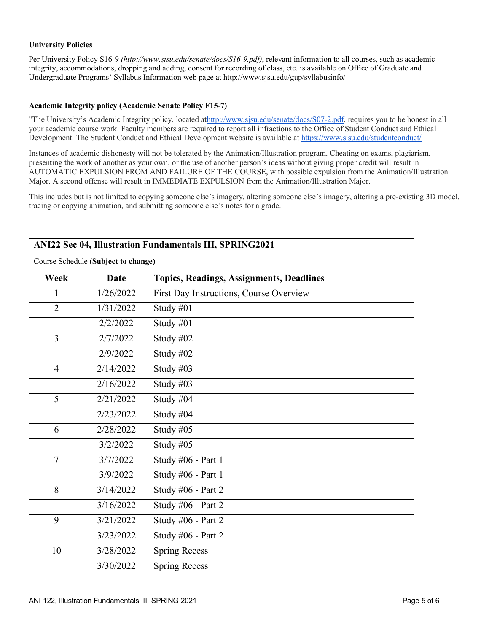#### **University Policies**

Per University Policy S16-9 *(http://www.sjsu.edu/senate/docs/S16-9.pdf)*, relevant information to all courses, such as academic integrity, accommodations, dropping and adding, consent for recording of class, etc. is available on Office of Graduate and Undergraduate Programs' Syllabus Information web page at http://www.sjsu.edu/gup/syllabusinfo/

#### **Academic Integrity policy (Academic Senate Policy F15-7)**

"The University's Academic Integrity policy, located athttp://www.sjsu.edu/senate/docs/S07-2.pdf, requires you to be honest in all your academic course work. Faculty members are required to report all infractions to the Office of Student Conduct and Ethical Development. The Student Conduct and Ethical Development website is available at https://www.sjsu.edu/studentconduct/

Instances of academic dishonesty will not be tolerated by the Animation/Illustration program. Cheating on exams, plagiarism, presenting the work of another as your own, or the use of another person's ideas without giving proper credit will result in AUTOMATIC EXPULSION FROM AND FAILURE OF THE COURSE, with possible expulsion from the Animation/Illustration Major. A second offense will result in IMMEDIATE EXPULSION from the Animation/Illustration Major.

This includes but is not limited to copying someone else's imagery, altering someone else's imagery, altering a pre-existing 3D model, tracing or copying animation, and submitting someone else's notes for a grade.

| ANI22 Sec 04, Illustration Fundamentals III, SPRING2021<br>Course Schedule (Subject to change) |           |                                                 |
|------------------------------------------------------------------------------------------------|-----------|-------------------------------------------------|
| Week                                                                                           | Date      | <b>Topics, Readings, Assignments, Deadlines</b> |
| 1                                                                                              | 1/26/2022 | First Day Instructions, Course Overview         |
| $\overline{2}$                                                                                 | 1/31/2022 | Study #01                                       |
|                                                                                                | 2/2/2022  | Study #01                                       |
| $\overline{3}$                                                                                 | 2/7/2022  | Study #02                                       |
|                                                                                                | 2/9/2022  | Study #02                                       |
| $\overline{4}$                                                                                 | 2/14/2022 | Study #03                                       |
|                                                                                                | 2/16/2022 | Study #03                                       |
| 5                                                                                              | 2/21/2022 | Study #04                                       |
|                                                                                                | 2/23/2022 | Study #04                                       |
| 6                                                                                              | 2/28/2022 | Study $#05$                                     |
|                                                                                                | 3/2/2022  | Study #05                                       |
| $\overline{7}$                                                                                 | 3/7/2022  | Study #06 - Part 1                              |
|                                                                                                | 3/9/2022  | Study #06 - Part 1                              |
| 8                                                                                              | 3/14/2022 | Study #06 - Part 2                              |
|                                                                                                | 3/16/2022 | Study #06 - Part 2                              |
| 9                                                                                              | 3/21/2022 | Study #06 - Part 2                              |
|                                                                                                | 3/23/2022 | Study #06 - Part 2                              |
| 10                                                                                             | 3/28/2022 | <b>Spring Recess</b>                            |
|                                                                                                | 3/30/2022 | <b>Spring Recess</b>                            |